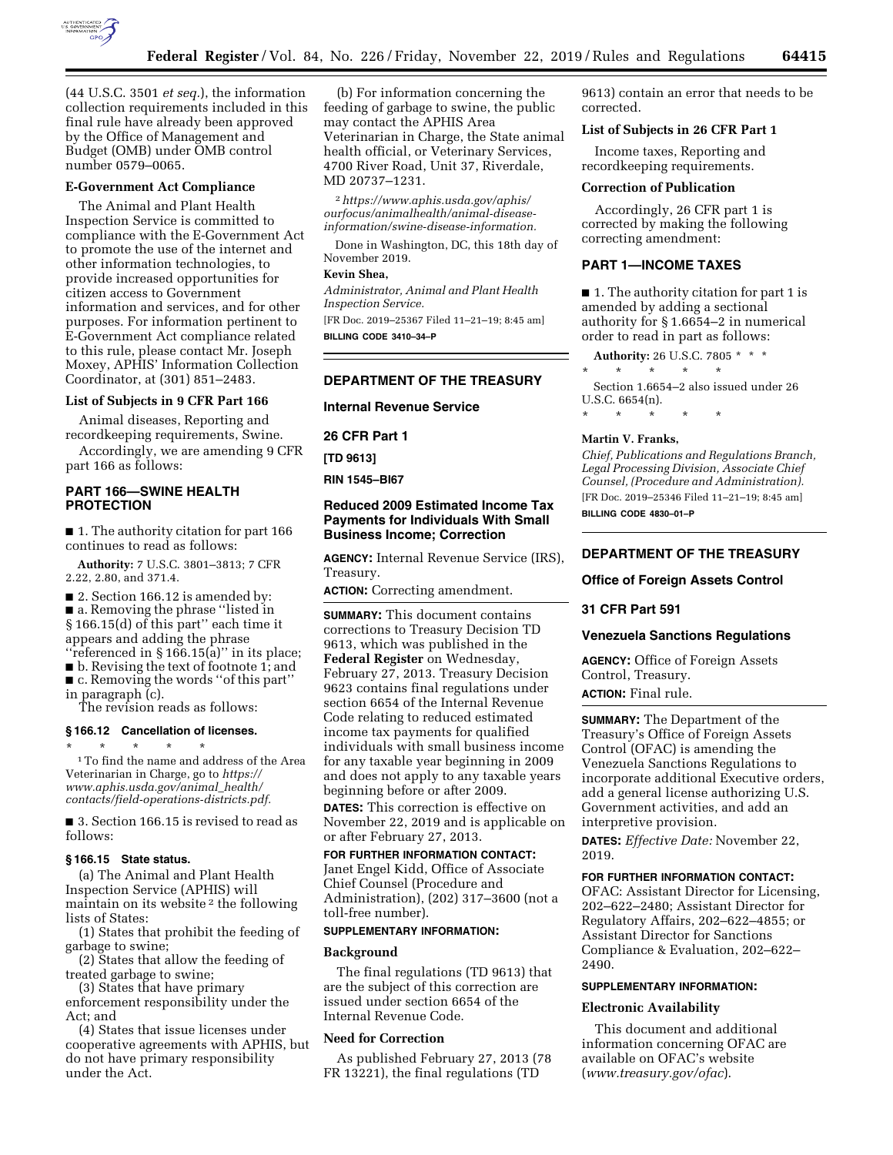

(44 U.S.C. 3501 *et seq.*), the information collection requirements included in this final rule have already been approved by the Office of Management and Budget (OMB) under OMB control number 0579–0065.

#### **E-Government Act Compliance**

The Animal and Plant Health Inspection Service is committed to compliance with the E-Government Act to promote the use of the internet and other information technologies, to provide increased opportunities for citizen access to Government information and services, and for other purposes. For information pertinent to E-Government Act compliance related to this rule, please contact Mr. Joseph Moxey, APHIS' Information Collection Coordinator, at (301) 851–2483.

#### **List of Subjects in 9 CFR Part 166**

Animal diseases, Reporting and recordkeeping requirements, Swine.

Accordingly, we are amending 9 CFR part 166 as follows:

# **PART 166—SWINE HEALTH PROTECTION**

■ 1. The authority citation for part 166 continues to read as follows:

**Authority:** 7 U.S.C. 3801–3813; 7 CFR 2.22, 2.80, and 371.4.

■ 2. Section 166.12 is amended by: ■ a. Removing the phrase "listed in § 166.15(d) of this part'' each time it appears and adding the phrase ''referenced in § 166.15(a)'' in its place;

■ b. Revising the text of footnote 1; and ■ c. Removing the words "of this part" in paragraph (c).

The revision reads as follows:

#### **§ 166.12 Cancellation of licenses.**

 $^{\ast}$   $\quad$  \*  $\quad$  \*  $\quad$  \*  $\quad$  \*  $\quad$   $^{\ast}$  To find the name and address of the Area Veterinarian in Charge, go to *[https://](https://www.aphis.usda.gov/animal_health/contacts/field-operations-districts.pdf) [www.aphis.usda.gov/animal](https://www.aphis.usda.gov/animal_health/contacts/field-operations-districts.pdf)*\_*health/ [contacts/field-operations-districts.pdf.](https://www.aphis.usda.gov/animal_health/contacts/field-operations-districts.pdf)* 

■ 3. Section 166.15 is revised to read as follows:

#### **§ 166.15 State status.**

(a) The Animal and Plant Health Inspection Service (APHIS) will maintain on its website 2 the following lists of States:

(1) States that prohibit the feeding of garbage to swine;

(2) States that allow the feeding of treated garbage to swine;

(3) States that have primary

enforcement responsibility under the Act; and

(4) States that issue licenses under cooperative agreements with APHIS, but do not have primary responsibility under the Act.

(b) For information concerning the feeding of garbage to swine, the public may contact the APHIS Area Veterinarian in Charge, the State animal health official, or Veterinary Services, 4700 River Road, Unit 37, Riverdale, MD 20737–1231.

2*[https://www.aphis.usda.gov/aphis/](https://www.aphis.usda.gov/aphis/ourfocus/animalhealth/animal-disease-information/swine-disease-information)  [ourfocus/animalhealth/animal-disease](https://www.aphis.usda.gov/aphis/ourfocus/animalhealth/animal-disease-information/swine-disease-information)[information/swine-disease-information.](https://www.aphis.usda.gov/aphis/ourfocus/animalhealth/animal-disease-information/swine-disease-information)* 

Done in Washington, DC, this 18th day of November 2019.

# **Kevin Shea,**

*Administrator, Animal and Plant Health Inspection Service.* 

[FR Doc. 2019–25367 Filed 11–21–19; 8:45 am] **BILLING CODE 3410–34–P** 

#### **DEPARTMENT OF THE TREASURY**

**Internal Revenue Service** 

**26 CFR Part 1** 

**[TD 9613]** 

**RIN 1545–BI67** 

# **Reduced 2009 Estimated Income Tax Payments for Individuals With Small Business Income; Correction**

**AGENCY:** Internal Revenue Service (IRS), Treasury.

**ACTION:** Correcting amendment.

**SUMMARY:** This document contains corrections to Treasury Decision TD 9613, which was published in the **Federal Register** on Wednesday, February 27, 2013. Treasury Decision 9623 contains final regulations under section 6654 of the Internal Revenue Code relating to reduced estimated income tax payments for qualified individuals with small business income for any taxable year beginning in 2009 and does not apply to any taxable years beginning before or after 2009.

**DATES:** This correction is effective on November 22, 2019 and is applicable on or after February 27, 2013.

**FOR FURTHER INFORMATION CONTACT:**  Janet Engel Kidd, Office of Associate Chief Counsel (Procedure and Administration), (202) 317–3600 (not a toll-free number).

## **SUPPLEMENTARY INFORMATION:**

# **Background**

The final regulations (TD 9613) that are the subject of this correction are issued under section 6654 of the Internal Revenue Code.

## **Need for Correction**

As published February 27, 2013 (78 FR 13221), the final regulations (TD

9613) contain an error that needs to be corrected.

## **List of Subjects in 26 CFR Part 1**

Income taxes, Reporting and recordkeeping requirements.

#### **Correction of Publication**

Accordingly, 26 CFR part 1 is corrected by making the following correcting amendment:

## **PART 1—INCOME TAXES**

■ 1. The authority citation for part 1 is amended by adding a sectional authority for § 1.6654–2 in numerical order to read in part as follows:

**Authority:** 26 U.S.C. 7805 \* \* \*

\* \* \* \* \* Section 1.6654–2 also issued under 26

U.S.C. 6654(n).

\* \* \* \* \*

#### **Martin V. Franks,**

*Chief, Publications and Regulations Branch, Legal Processing Division, Associate Chief Counsel, (Procedure and Administration).*  [FR Doc. 2019–25346 Filed 11–21–19; 8:45 am] **BILLING CODE 4830–01–P** 

# **DEPARTMENT OF THE TREASURY**

#### **Office of Foreign Assets Control**

# **31 CFR Part 591**

#### **Venezuela Sanctions Regulations**

**AGENCY:** Office of Foreign Assets Control, Treasury.

**ACTION:** Final rule.

**SUMMARY:** The Department of the Treasury's Office of Foreign Assets Control (OFAC) is amending the Venezuela Sanctions Regulations to incorporate additional Executive orders, add a general license authorizing U.S. Government activities, and add an interpretive provision.

**DATES:** *Effective Date:* November 22, 2019.

#### **FOR FURTHER INFORMATION CONTACT:**

OFAC: Assistant Director for Licensing, 202–622–2480; Assistant Director for Regulatory Affairs, 202–622–4855; or Assistant Director for Sanctions Compliance & Evaluation, 202–622– 2490.

#### **SUPPLEMENTARY INFORMATION:**

#### **Electronic Availability**

This document and additional information concerning OFAC are available on OFAC's website (*[www.treasury.gov/ofac](http://www.treasury.gov/ofac)*).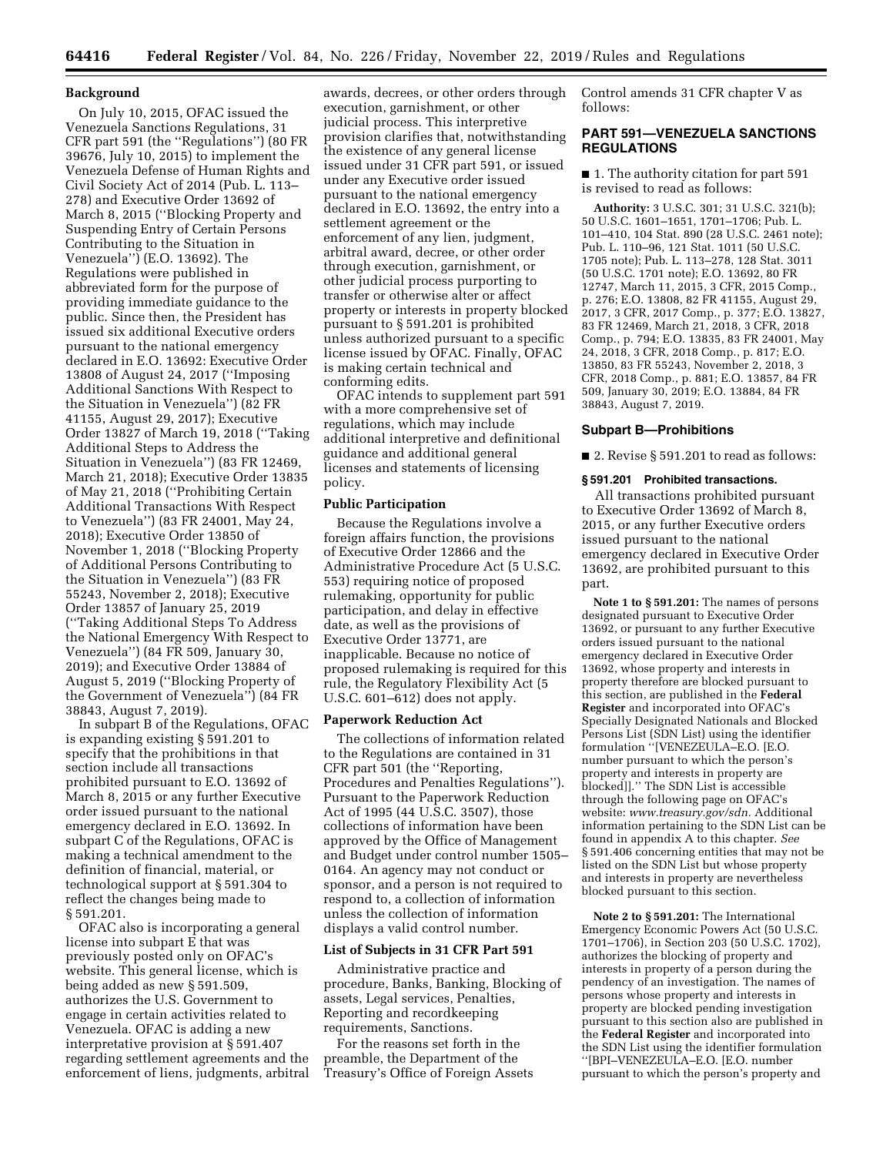#### **Background**

On July 10, 2015, OFAC issued the Venezuela Sanctions Regulations, 31 CFR part 591 (the ''Regulations'') (80 FR 39676, July 10, 2015) to implement the Venezuela Defense of Human Rights and Civil Society Act of 2014 (Pub. L. 113– 278) and Executive Order 13692 of March 8, 2015 (''Blocking Property and Suspending Entry of Certain Persons Contributing to the Situation in Venezuela'') (E.O. 13692). The Regulations were published in abbreviated form for the purpose of providing immediate guidance to the public. Since then, the President has issued six additional Executive orders pursuant to the national emergency declared in E.O. 13692: Executive Order 13808 of August 24, 2017 (''Imposing Additional Sanctions With Respect to the Situation in Venezuela'') (82 FR 41155, August 29, 2017); Executive Order 13827 of March 19, 2018 (''Taking Additional Steps to Address the Situation in Venezuela'') (83 FR 12469, March 21, 2018); Executive Order 13835 of May 21, 2018 (''Prohibiting Certain Additional Transactions With Respect to Venezuela'') (83 FR 24001, May 24, 2018); Executive Order 13850 of November 1, 2018 (''Blocking Property of Additional Persons Contributing to the Situation in Venezuela'') (83 FR 55243, November 2, 2018); Executive Order 13857 of January 25, 2019 (''Taking Additional Steps To Address the National Emergency With Respect to Venezuela'') (84 FR 509, January 30, 2019); and Executive Order 13884 of August 5, 2019 (''Blocking Property of the Government of Venezuela'') (84 FR 38843, August 7, 2019).

In subpart B of the Regulations, OFAC is expanding existing § 591.201 to specify that the prohibitions in that section include all transactions prohibited pursuant to E.O. 13692 of March 8, 2015 or any further Executive order issued pursuant to the national emergency declared in E.O. 13692. In subpart C of the Regulations, OFAC is making a technical amendment to the definition of financial, material, or technological support at § 591.304 to reflect the changes being made to § 591.201.

OFAC also is incorporating a general license into subpart E that was previously posted only on OFAC's website. This general license, which is being added as new § 591.509, authorizes the U.S. Government to engage in certain activities related to Venezuela. OFAC is adding a new interpretative provision at § 591.407 regarding settlement agreements and the enforcement of liens, judgments, arbitral

awards, decrees, or other orders through execution, garnishment, or other judicial process. This interpretive provision clarifies that, notwithstanding the existence of any general license issued under 31 CFR part 591, or issued under any Executive order issued pursuant to the national emergency declared in E.O. 13692, the entry into a settlement agreement or the enforcement of any lien, judgment, arbitral award, decree, or other order through execution, garnishment, or other judicial process purporting to transfer or otherwise alter or affect property or interests in property blocked pursuant to § 591.201 is prohibited unless authorized pursuant to a specific license issued by OFAC. Finally, OFAC is making certain technical and conforming edits.

OFAC intends to supplement part 591 with a more comprehensive set of regulations, which may include additional interpretive and definitional guidance and additional general licenses and statements of licensing policy.

## **Public Participation**

Because the Regulations involve a foreign affairs function, the provisions of Executive Order 12866 and the Administrative Procedure Act (5 U.S.C. 553) requiring notice of proposed rulemaking, opportunity for public participation, and delay in effective date, as well as the provisions of Executive Order 13771, are inapplicable. Because no notice of proposed rulemaking is required for this rule, the Regulatory Flexibility Act (5 U.S.C. 601–612) does not apply.

## **Paperwork Reduction Act**

The collections of information related to the Regulations are contained in 31 CFR part 501 (the ''Reporting, Procedures and Penalties Regulations''). Pursuant to the Paperwork Reduction Act of 1995 (44 U.S.C. 3507), those collections of information have been approved by the Office of Management and Budget under control number 1505– 0164. An agency may not conduct or sponsor, and a person is not required to respond to, a collection of information unless the collection of information displays a valid control number.

## **List of Subjects in 31 CFR Part 591**

Administrative practice and procedure, Banks, Banking, Blocking of assets, Legal services, Penalties, Reporting and recordkeeping requirements, Sanctions.

For the reasons set forth in the preamble, the Department of the Treasury's Office of Foreign Assets Control amends 31 CFR chapter V as follows:

# **PART 591—VENEZUELA SANCTIONS REGULATIONS**

■ 1. The authority citation for part 591 is revised to read as follows:

**Authority:** 3 U.S.C. 301; 31 U.S.C. 321(b); 50 U.S.C. 1601–1651, 1701–1706; Pub. L. 101–410, 104 Stat. 890 (28 U.S.C. 2461 note); Pub. L. 110–96, 121 Stat. 1011 (50 U.S.C. 1705 note); Pub. L. 113–278, 128 Stat. 3011 (50 U.S.C. 1701 note); E.O. 13692, 80 FR 12747, March 11, 2015, 3 CFR, 2015 Comp., p. 276; E.O. 13808, 82 FR 41155, August 29, 2017, 3 CFR, 2017 Comp., p. 377; E.O. 13827, 83 FR 12469, March 21, 2018, 3 CFR, 2018 Comp., p. 794; E.O. 13835, 83 FR 24001, May 24, 2018, 3 CFR, 2018 Comp., p. 817; E.O. 13850, 83 FR 55243, November 2, 2018, 3 CFR, 2018 Comp., p. 881; E.O. 13857, 84 FR 509, January 30, 2019; E.O. 13884, 84 FR 38843, August 7, 2019.

## **Subpart B—Prohibitions**

■ 2. Revise § 591.201 to read as follows:

#### **§ 591.201 Prohibited transactions.**

All transactions prohibited pursuant to Executive Order 13692 of March 8, 2015, or any further Executive orders issued pursuant to the national emergency declared in Executive Order 13692, are prohibited pursuant to this part.

**Note 1 to § 591.201:** The names of persons designated pursuant to Executive Order 13692, or pursuant to any further Executive orders issued pursuant to the national emergency declared in Executive Order 13692, whose property and interests in property therefore are blocked pursuant to this section, are published in the **Federal Register** and incorporated into OFAC's Specially Designated Nationals and Blocked Persons List (SDN List) using the identifier formulation ''[VENEZEULA–E.O. [E.O. number pursuant to which the person's property and interests in property are blocked]].'' The SDN List is accessible through the following page on OFAC's website: *[www.treasury.gov/sdn.](http://www.treasury.gov/sdn)* Additional information pertaining to the SDN List can be found in appendix A to this chapter. *See*  § 591.406 concerning entities that may not be listed on the SDN List but whose property and interests in property are nevertheless blocked pursuant to this section.

**Note 2 to § 591.201:** The International Emergency Economic Powers Act (50 U.S.C. 1701–1706), in Section 203 (50 U.S.C. 1702), authorizes the blocking of property and interests in property of a person during the pendency of an investigation. The names of persons whose property and interests in property are blocked pending investigation pursuant to this section also are published in the **Federal Register** and incorporated into the SDN List using the identifier formulation ''[BPI–VENEZEULA–E.O. [E.O. number pursuant to which the person's property and